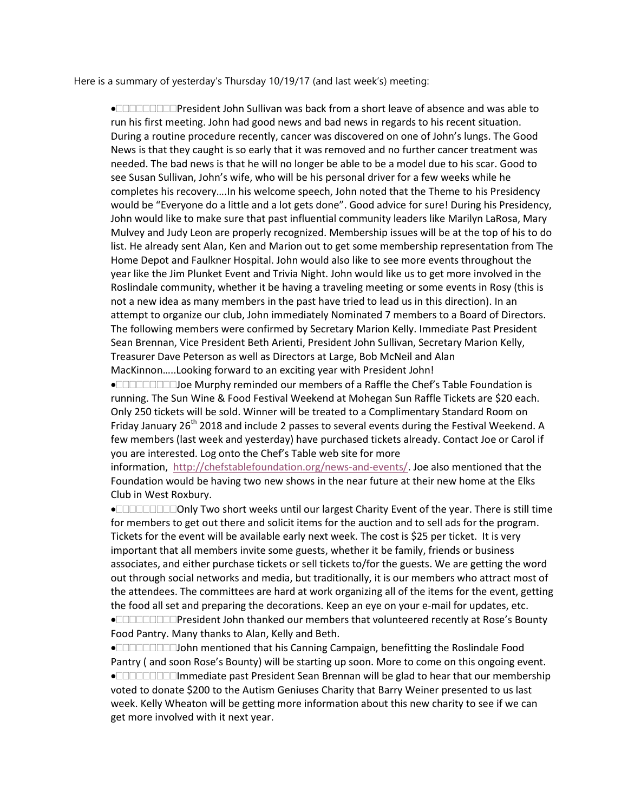Here is a summary of yesterday's Thursday 10/19/17 (and last week's) meeting:

• $\Box$  $\Box$  $\Box$  $\Box$  $\Box$ President John Sullivan was back from a short leave of absence and was able to run his first meeting. John had good news and bad news in regards to his recent situation. During a routine procedure recently, cancer was discovered on one of John's lungs. The Good News is that they caught is so early that it was removed and no further cancer treatment was needed. The bad news is that he will no longer be able to be a model due to his scar. Good to see Susan Sullivan, John's wife, who will be his personal driver for a few weeks while he completes his recovery….In his welcome speech, John noted that the Theme to his Presidency would be "Everyone do a little and a lot gets done". Good advice for sure! During his Presidency, John would like to make sure that past influential community leaders like Marilyn LaRosa, Mary Mulvey and Judy Leon are properly recognized. Membership issues will be at the top of his to do list. He already sent Alan, Ken and Marion out to get some membership representation from The Home Depot and Faulkner Hospital. John would also like to see more events throughout the year like the Jim Plunket Event and Trivia Night. John would like us to get more involved in the Roslindale community, whether it be having a traveling meeting or some events in Rosy (this is not a new idea as many members in the past have tried to lead us in this direction). In an attempt to organize our club, John immediately Nominated 7 members to a Board of Directors. The following members were confirmed by Secretary Marion Kelly. Immediate Past President Sean Brennan, Vice President Beth Arienti, President John Sullivan, Secretary Marion Kelly, Treasurer Dave Peterson as well as Directors at Large, Bob McNeil and Alan MacKinnon…..Looking forward to an exciting year with President John!

Joe Murphy reminded our members of a Raffle the Chef's Table Foundation is running. The Sun Wine & Food Festival Weekend at Mohegan Sun Raffle Tickets are \$20 each. Only 250 tickets will be sold. Winner will be treated to a Complimentary Standard Room on Friday January 26<sup>th</sup> 2018 and include 2 passes to several events during the Festival Weekend. A few members (last week and yesterday) have purchased tickets already. Contact Joe or Carol if you are interested. Log onto the Chef's Table web site for more

information, http://chefstablefoundation.org/news-and-events/. Joe also mentioned that the Foundation would be having two new shows in the near future at their new home at the Elks Club in West Roxbury.

Only Two short weeks until our largest Charity Event of the year. There is still time for members to get out there and solicit items for the auction and to sell ads for the program. Tickets for the event will be available early next week. The cost is \$25 per ticket. It is very important that all members invite some guests, whether it be family, friends or business associates, and either purchase tickets or sell tickets to/for the guests. We are getting the word out through social networks and media, but traditionally, it is our members who attract most of the attendees. The committees are hard at work organizing all of the items for the event, getting the food all set and preparing the decorations. Keep an eye on your e-mail for updates, etc. President John thanked our members that volunteered recently at Rose's Bounty Food Pantry. Many thanks to Alan, Kelly and Beth.

John mentioned that his Canning Campaign, benefitting the Roslindale Food Pantry ( and soon Rose's Bounty) will be starting up soon. More to come on this ongoing event. Immediate past President Sean Brennan will be glad to hear that our membership voted to donate \$200 to the Autism Geniuses Charity that Barry Weiner presented to us last week. Kelly Wheaton will be getting more information about this new charity to see if we can get more involved with it next year.